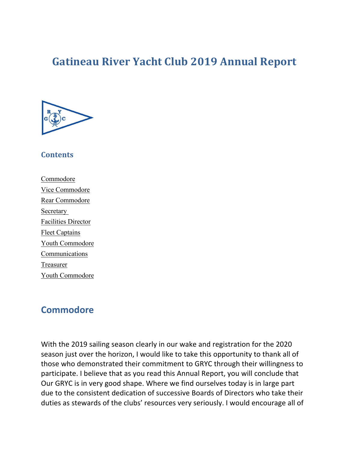# **Gatineau River Yacht Club 2019 Annual Report**



#### **Contents**

Commodore Vice Commodore Rear Commodore Secretary Facilities Director Fleet Captains Youth Commodore Communications **Treasurer** Youth Commodore

## **Commodore**

With the 2019 sailing season clearly in our wake and registration for the 2020 season just over the horizon, I would like to take this opportunity to thank all of those who demonstrated their commitment to GRYC through their willingness to participate. I believe that as you read this Annual Report, you will conclude that Our GRYC is in very good shape. Where we find ourselves today is in large part due to the consistent dedication of successive Boards of Directors who take their duties as stewards of the clubs' resources very seriously. I would encourage all of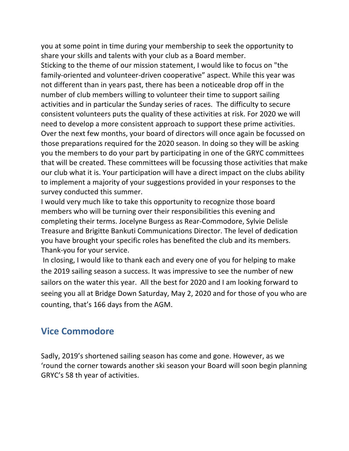you at some point in time during your membership to seek the opportunity to share your skills and talents with your club as a Board member. Sticking to the theme of our mission statement, I would like to focus on "the family-oriented and volunteer-driven cooperative" aspect. While this year was not different than in years past, there has been a noticeable drop off in the number of club members willing to volunteer their time to support sailing activities and in particular the Sunday series of races. The difficulty to secure consistent volunteers puts the quality of these activities at risk. For 2020 we will need to develop a more consistent approach to support these prime activities. Over the next few months, your board of directors will once again be focussed on those preparations required for the 2020 season. In doing so they will be asking you the members to do your part by participating in one of the GRYC committees that will be created. These committees will be focussing those activities that make our club what it is. Your participation will have a direct impact on the clubs ability to implement a majority of your suggestions provided in your responses to the survey conducted this summer.

I would very much like to take this opportunity to recognize those board members who will be turning over their responsibilities this evening and completing their terms. Jocelyne Burgess as Rear-Commodore, Sylvie Delisle Treasure and Brigitte Bankuti Communications Director. The level of dedication you have brought your specific roles has benefited the club and its members. Thank-you for your service.

In closing, I would like to thank each and every one of you for helping to make the 2019 sailing season a success. It was impressive to see the number of new sailors on the water this year. All the best for 2020 and I am looking forward to seeing you all at Bridge Down Saturday, May 2, 2020 and for those of you who are counting, that's 166 days from the AGM.

## **Vice Commodore**

Sadly, 2019's shortened sailing season has come and gone. However, as we 'round the corner towards another ski season your Board will soon begin planning GRYC's 58 th year of activities.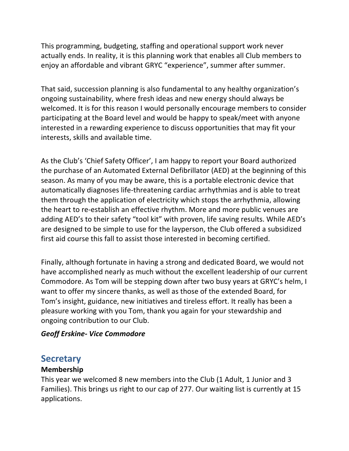This programming, budgeting, staffing and operational support work never actually ends. In reality, it is this planning work that enables all Club members to enjoy an affordable and vibrant GRYC "experience", summer after summer.

That said, succession planning is also fundamental to any healthy organization's ongoing sustainability, where fresh ideas and new energy should always be welcomed. It is for this reason I would personally encourage members to consider participating at the Board level and would be happy to speak/meet with anyone interested in a rewarding experience to discuss opportunities that may fit your interests, skills and available time.

As the Club's 'Chief Safety Officer', I am happy to report your Board authorized the purchase of an Automated External Defibrillator (AED) at the beginning of this season. As many of you may be aware, this is a portable electronic device that automatically diagnoses life-threatening cardiac arrhythmias and is able to treat them through the application of electricity which stops the arrhythmia, allowing the heart to re-establish an effective rhythm. More and more public venues are adding AED's to their safety "tool kit" with proven, life saving results. While AED's are designed to be simple to use for the layperson, the Club offered a subsidized first aid course this fall to assist those interested in becoming certified.

Finally, although fortunate in having a strong and dedicated Board, we would not have accomplished nearly as much without the excellent leadership of our current Commodore. As Tom will be stepping down after two busy years at GRYC's helm, I want to offer my sincere thanks, as well as those of the extended Board, for Tom's insight, guidance, new initiatives and tireless effort. It really has been a pleasure working with you Tom, thank you again for your stewardship and ongoing contribution to our Club.

## *Geoff Erskine- Vice Commodore*

## **Secretary**

## **Membership**

This year we welcomed 8 new members into the Club (1 Adult, 1 Junior and 3 Families). This brings us right to our cap of 277. Our waiting list is currently at 15 applications.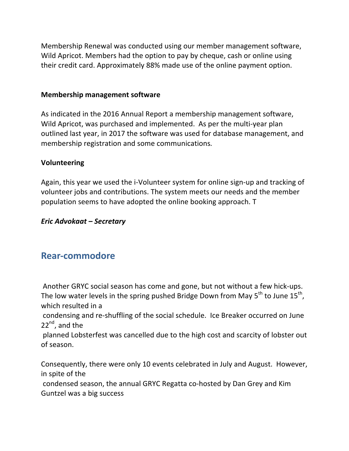Membership Renewal was conducted using our member management software, Wild Apricot. Members had the option to pay by cheque, cash or online using their credit card. Approximately 88% made use of the online payment option.

#### **Membership management software**

As indicated in the 2016 Annual Report a membership management software, Wild Apricot, was purchased and implemented. As per the multi-year plan outlined last year, in 2017 the software was used for database management, and membership registration and some communications.

#### **Volunteering**

Again, this year we used the i-Volunteer system for online sign-up and tracking of volunteer jobs and contributions. The system meets our needs and the member population seems to have adopted the online booking approach. T

#### *Eric Advokaat – Secretary*

## **Rear-commodore**

Another GRYC social season has come and gone, but not without a few hick-ups. The low water levels in the spring pushed Bridge Down from May  $5^{th}$  to June  $15^{th}$ , which resulted in a

condensing and re-shuffling of the social schedule. Ice Breaker occurred on June  $22^{nd}$ , and the

planned Lobsterfest was cancelled due to the high cost and scarcity of lobster out of season.

Consequently, there were only 10 events celebrated in July and August. However, in spite of the

condensed season, the annual GRYC Regatta co-hosted by Dan Grey and Kim Guntzel was a big success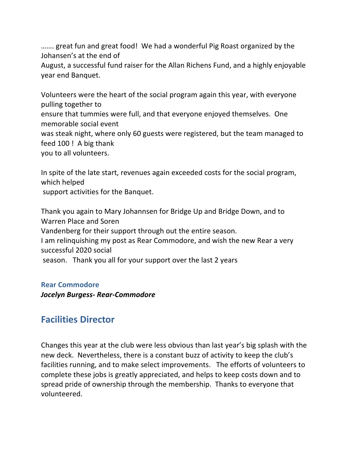....... great fun and great food! We had a wonderful Pig Roast organized by the Johansen's at the end of

August, a successful fund raiser for the Allan Richens Fund, and a highly enjoyable year end Banquet.

Volunteers were the heart of the social program again this year, with everyone pulling together to ensure that tummies were full, and that everyone enjoyed themselves. One memorable social event was steak night, where only 60 guests were registered, but the team managed to feed  $100$ ! A big thank you to all volunteers.

In spite of the late start, revenues again exceeded costs for the social program, which helped support activities for the Banquet.

Thank you again to Mary Johannsen for Bridge Up and Bridge Down, and to Warren Place and Soren Vandenberg for their support through out the entire season. I am relinquishing my post as Rear Commodore, and wish the new Rear a very successful 2020 social

season. Thank you all for your support over the last 2 years

## **Rear Commodore**

*Jocelyn Burgess- Rear-Commodore*

## **Facilities Director**

Changes this year at the club were less obvious than last year's big splash with the new deck. Nevertheless, there is a constant buzz of activity to keep the club's facilities running, and to make select improvements. The efforts of volunteers to complete these jobs is greatly appreciated, and helps to keep costs down and to spread pride of ownership through the membership. Thanks to everyone that volunteered.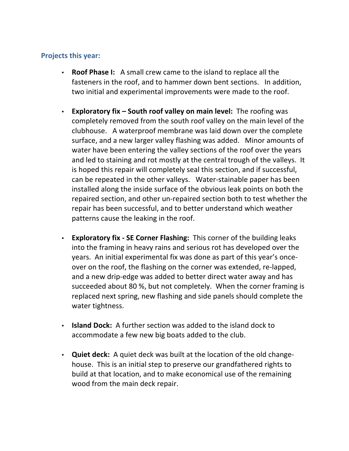## **Projects this year:**

- **Roof Phase I:** A small crew came to the island to replace all the fasteners in the roof, and to hammer down bent sections. In addition, two initial and experimental improvements were made to the roof.
- **Exploratory fix South roof valley on main level:** The roofing was completely removed from the south roof valley on the main level of the clubhouse. A waterproof membrane was laid down over the complete surface, and a new larger valley flashing was added. Minor amounts of water have been entering the valley sections of the roof over the years and led to staining and rot mostly at the central trough of the valleys. It is hoped this repair will completely seal this section, and if successful, can be repeated in the other valleys. Water-stainable paper has been installed along the inside surface of the obvious leak points on both the repaired section, and other un-repaired section both to test whether the repair has been successful, and to better understand which weather patterns cause the leaking in the roof.
- **Exploratory fix SE Corner Flashing:** This corner of the building leaks into the framing in heavy rains and serious rot has developed over the years. An initial experimental fix was done as part of this year's onceover on the roof, the flashing on the corner was extended, re-lapped, and a new drip-edge was added to better direct water away and has succeeded about 80 %, but not completely. When the corner framing is replaced next spring, new flashing and side panels should complete the water tightness.
- **Island Dock:** A further section was added to the island dock to accommodate a few new big boats added to the club.
- **Quiet deck:** A quiet deck was built at the location of the old changehouse. This is an initial step to preserve our grandfathered rights to build at that location, and to make economical use of the remaining wood from the main deck repair.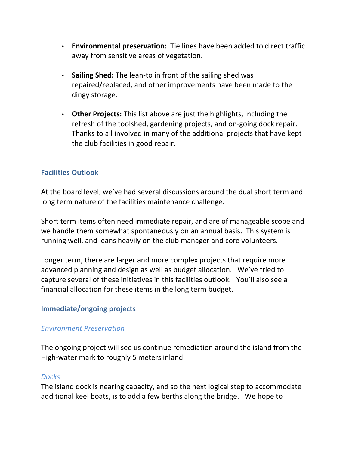- **Environmental preservation:** Tie lines have been added to direct traffic away from sensitive areas of vegetation.
- Sailing Shed: The lean-to in front of the sailing shed was repaired/replaced, and other improvements have been made to the dingy storage.
- Other Projects: This list above are just the highlights, including the refresh of the toolshed, gardening projects, and on-going dock repair. Thanks to all involved in many of the additional projects that have kept the club facilities in good repair.

## **Facilities Outlook**

At the board level, we've had several discussions around the dual short term and long term nature of the facilities maintenance challenge.

Short term items often need immediate repair, and are of manageable scope and we handle them somewhat spontaneously on an annual basis. This system is running well, and leans heavily on the club manager and core volunteers.

Longer term, there are larger and more complex projects that require more advanced planning and design as well as budget allocation. We've tried to capture several of these initiatives in this facilities outlook. You'll also see a financial allocation for these items in the long term budget.

#### **Immediate/ongoing projects**

#### *Environment Preservation*

The ongoing project will see us continue remediation around the island from the High-water mark to roughly 5 meters inland.

#### *Docks*

The island dock is nearing capacity, and so the next logical step to accommodate additional keel boats, is to add a few berths along the bridge. We hope to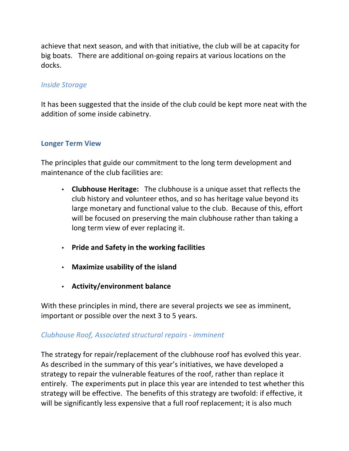achieve that next season, and with that initiative, the club will be at capacity for big boats. There are additional on-going repairs at various locations on the docks.

## *Inside Storage*

It has been suggested that the inside of the club could be kept more neat with the addition of some inside cabinetry.

## **Longer Term View**

The principles that guide our commitment to the long term development and maintenance of the club facilities are:

- **Clubhouse Heritage:** The clubhouse is a unique asset that reflects the club history and volunteer ethos, and so has heritage value beyond its large monetary and functional value to the club. Because of this, effort will be focused on preserving the main clubhouse rather than taking a long term view of ever replacing it.
- **Pride and Safety in the working facilities**
- Maximize usability of the island
- **Activity/environment balance**

With these principles in mind, there are several projects we see as imminent, important or possible over the next 3 to 5 years.

## *Clubhouse Roof, Associated structural repairs - imminent*

The strategy for repair/replacement of the clubhouse roof has evolved this year. As described in the summary of this year's initiatives, we have developed a strategy to repair the vulnerable features of the roof, rather than replace it entirely. The experiments put in place this year are intended to test whether this strategy will be effective. The benefits of this strategy are twofold: if effective, it will be significantly less expensive that a full roof replacement; it is also much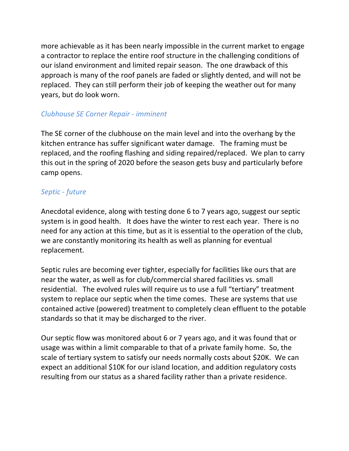more achievable as it has been nearly impossible in the current market to engage a contractor to replace the entire roof structure in the challenging conditions of our island environment and limited repair season. The one drawback of this approach is many of the roof panels are faded or slightly dented, and will not be replaced. They can still perform their job of keeping the weather out for many years, but do look worn.

## *Clubhouse SE Corner Repair - imminent*

The SE corner of the clubhouse on the main level and into the overhang by the kitchen entrance has suffer significant water damage. The framing must be replaced, and the roofing flashing and siding repaired/replaced. We plan to carry this out in the spring of 2020 before the season gets busy and particularly before camp opens.

## *Septic - future*

Anecdotal evidence, along with testing done 6 to 7 years ago, suggest our septic system is in good health. It does have the winter to rest each year. There is no need for any action at this time, but as it is essential to the operation of the club, we are constantly monitoring its health as well as planning for eventual replacement.

Septic rules are becoming ever tighter, especially for facilities like ours that are near the water, as well as for club/commercial shared facilities vs. small residential. The evolved rules will require us to use a full "tertiary" treatment system to replace our septic when the time comes. These are systems that use contained active (powered) treatment to completely clean effluent to the potable standards so that it may be discharged to the river.

Our septic flow was monitored about 6 or 7 years ago, and it was found that or usage was within a limit comparable to that of a private family home. So, the scale of tertiary system to satisfy our needs normally costs about \$20K. We can expect an additional \$10K for our island location, and addition regulatory costs resulting from our status as a shared facility rather than a private residence.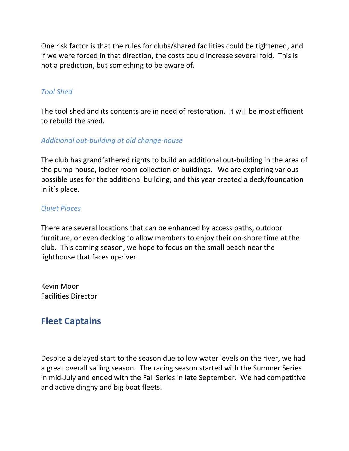One risk factor is that the rules for clubs/shared facilities could be tightened, and if we were forced in that direction, the costs could increase several fold. This is not a prediction, but something to be aware of.

## *Tool Shed*

The tool shed and its contents are in need of restoration. It will be most efficient to rebuild the shed.

## *Additional out-building at old change-house*

The club has grandfathered rights to build an additional out-building in the area of the pump-house, locker room collection of buildings. We are exploring various possible uses for the additional building, and this year created a deck/foundation in it's place.

#### *Quiet Places*

There are several locations that can be enhanced by access paths, outdoor furniture, or even decking to allow members to enjoy their on-shore time at the club. This coming season, we hope to focus on the small beach near the lighthouse that faces up-river.

Kevin Moon Facilities Director

## **Fleet Captains**

Despite a delayed start to the season due to low water levels on the river, we had a great overall sailing season. The racing season started with the Summer Series in mid-July and ended with the Fall Series in late September. We had competitive and active dinghy and big boat fleets.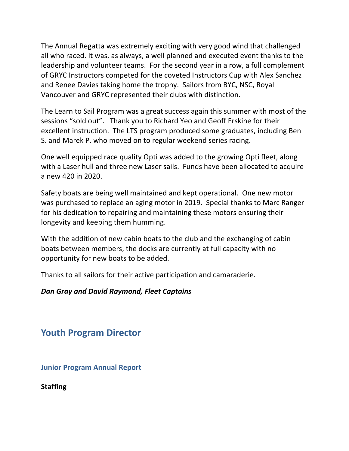The Annual Regatta was extremely exciting with very good wind that challenged all who raced. It was, as always, a well planned and executed event thanks to the leadership and volunteer teams. For the second year in a row, a full complement of GRYC Instructors competed for the coveted Instructors Cup with Alex Sanchez and Renee Davies taking home the trophy. Sailors from BYC, NSC, Royal Vancouver and GRYC represented their clubs with distinction.

The Learn to Sail Program was a great success again this summer with most of the sessions "sold out". Thank you to Richard Yeo and Geoff Erskine for their excellent instruction. The LTS program produced some graduates, including Ben S. and Marek P. who moved on to regular weekend series racing.

One well equipped race quality Opti was added to the growing Opti fleet, along with a Laser hull and three new Laser sails. Funds have been allocated to acquire a new 420 in 2020.

Safety boats are being well maintained and kept operational. One new motor was purchased to replace an aging motor in 2019. Special thanks to Marc Ranger for his dedication to repairing and maintaining these motors ensuring their longevity and keeping them humming.

With the addition of new cabin boats to the club and the exchanging of cabin boats between members, the docks are currently at full capacity with no opportunity for new boats to be added.

Thanks to all sailors for their active participation and camaraderie.

#### **Dan Gray and David Raymond, Fleet Captains**

## **Youth Program Director**

**Junior Program Annual Report** 

**Staffing**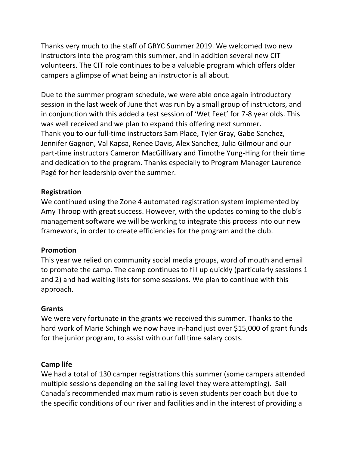Thanks very much to the staff of GRYC Summer 2019. We welcomed two new instructors into the program this summer, and in addition several new CIT volunteers. The CIT role continues to be a valuable program which offers older campers a glimpse of what being an instructor is all about.

Due to the summer program schedule, we were able once again introductory session in the last week of June that was run by a small group of instructors, and in conjunction with this added a test session of 'Wet Feet' for 7-8 year olds. This was well received and we plan to expand this offering next summer. Thank you to our full-time instructors Sam Place, Tyler Gray, Gabe Sanchez, Jennifer Gagnon, Val Kapsa, Renee Davis, Alex Sanchez, Julia Gilmour and our part-time instructors Cameron MacGillivary and Timothe Yung-Hing for their time and dedication to the program. Thanks especially to Program Manager Laurence Pagé for her leadership over the summer.

## **Registration**

We continued using the Zone 4 automated registration system implemented by Amy Throop with great success. However, with the updates coming to the club's management software we will be working to integrate this process into our new framework, in order to create efficiencies for the program and the club.

## **Promotion**

This year we relied on community social media groups, word of mouth and email to promote the camp. The camp continues to fill up quickly (particularly sessions 1 and 2) and had waiting lists for some sessions. We plan to continue with this approach.

## **Grants**

We were very fortunate in the grants we received this summer. Thanks to the hard work of Marie Schingh we now have in-hand just over \$15,000 of grant funds for the junior program, to assist with our full time salary costs.

## **Camp life**

We had a total of 130 camper registrations this summer (some campers attended multiple sessions depending on the sailing level they were attempting). Sail Canada's recommended maximum ratio is seven students per coach but due to the specific conditions of our river and facilities and in the interest of providing a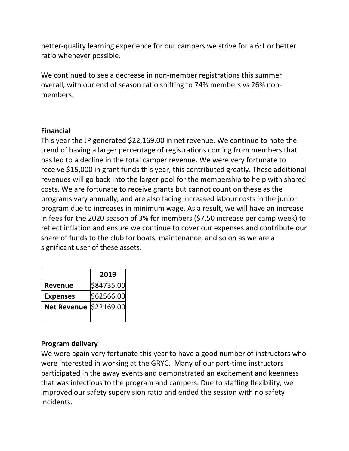better-quality learning experience for our campers we strive for a 6:1 or better ratio whenever possible.

We continued to see a decrease in non-member registrations this summer overall, with our end of season ratio shifting to 74% members vs 26% nonmembers.

#### **Financial**

This year the JP generated \$22,169.00 in net revenue. We continue to note the trend of having a larger percentage of registrations coming from members that has led to a decline in the total camper revenue. We were very fortunate to receive \$15,000 in grant funds this year, this contributed greatly. These additional revenues will go back into the larger pool for the membership to help with shared costs. We are fortunate to receive grants but cannot count on these as the programs vary annually, and are also facing increased labour costs in the junior program due to increases in minimum wage. As a result, we will have an increase in fees for the 2020 season of 3% for members  $(57.50$  increase per camp week) to reflect inflation and ensure we continue to cover our expenses and contribute our share of funds to the club for boats, maintenance, and so on as we are a significant user of these assets.

|                               | 2019       |
|-------------------------------|------------|
| <b>Revenue</b>                | \$84735.00 |
| <b>Expenses</b>               | \$62566.00 |
| <b>Net Revenue \$22169.00</b> |            |
|                               |            |

## **Program delivery**

We were again very fortunate this year to have a good number of instructors who were interested in working at the GRYC. Many of our part-time instructors participated in the away events and demonstrated an excitement and keenness that was infectious to the program and campers. Due to staffing flexibility, we improved our safety supervision ratio and ended the session with no safety incidents.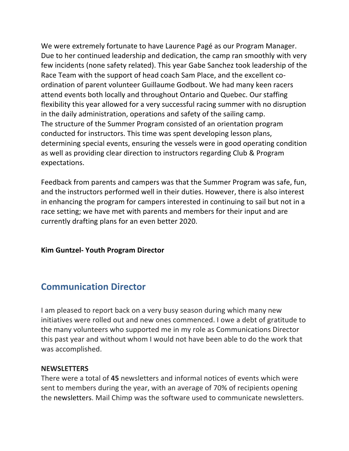We were extremely fortunate to have Laurence Pagé as our Program Manager. Due to her continued leadership and dedication, the camp ran smoothly with very few incidents (none safety related). This year Gabe Sanchez took leadership of the Race Team with the support of head coach Sam Place, and the excellent coordination of parent volunteer Guillaume Godbout. We had many keen racers attend events both locally and throughout Ontario and Quebec. Our staffing flexibility this year allowed for a very successful racing summer with no disruption in the daily administration, operations and safety of the sailing camp. The structure of the Summer Program consisted of an orientation program conducted for instructors. This time was spent developing lesson plans, determining special events, ensuring the vessels were in good operating condition as well as providing clear direction to instructors regarding Club & Program expectations. 

Feedback from parents and campers was that the Summer Program was safe, fun, and the instructors performed well in their duties. However, there is also interest in enhancing the program for campers interested in continuing to sail but not in a race setting; we have met with parents and members for their input and are currently drafting plans for an even better 2020.

## **Kim Guntzel- Youth Program Director**

## **Communication Director**

I am pleased to report back on a very busy season during which many new initiatives were rolled out and new ones commenced. I owe a debt of gratitude to the many volunteers who supported me in my role as Communications Director this past year and without whom I would not have been able to do the work that was accomplished.

#### **NEWSLETTERS**

There were a total of 45 newsletters and informal notices of events which were sent to members during the year, with an average of 70% of recipients opening the newsletters. Mail Chimp was the software used to communicate newsletters.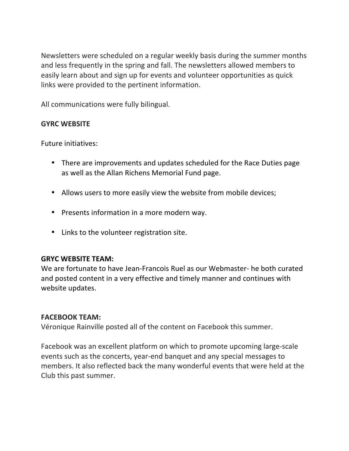Newsletters were scheduled on a regular weekly basis during the summer months and less frequently in the spring and fall. The newsletters allowed members to easily learn about and sign up for events and volunteer opportunities as quick links were provided to the pertinent information.

All communications were fully bilingual.

## **GYRC WEBSITE**

Future initiatives:

- There are improvements and updates scheduled for the Race Duties page as well as the Allan Richens Memorial Fund page.
- Allows users to more easily view the website from mobile devices;
- Presents information in a more modern way.
- Links to the volunteer registration site.

## **GRYC WEBSITE TEAM:**

We are fortunate to have Jean-Francois Ruel as our Webmaster- he both curated and posted content in a very effective and timely manner and continues with website updates.

## **FACEBOOK TEAM:**

Véronique Rainville posted all of the content on Facebook this summer.

Facebook was an excellent platform on which to promote upcoming large-scale events such as the concerts, year-end banquet and any special messages to members. It also reflected back the many wonderful events that were held at the Club this past summer.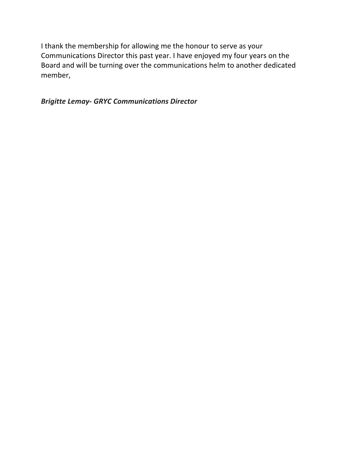I thank the membership for allowing me the honour to serve as your Communications Director this past year. I have enjoyed my four years on the Board and will be turning over the communications helm to another dedicated member,

*Brigitte Lemay- GRYC Communications Director*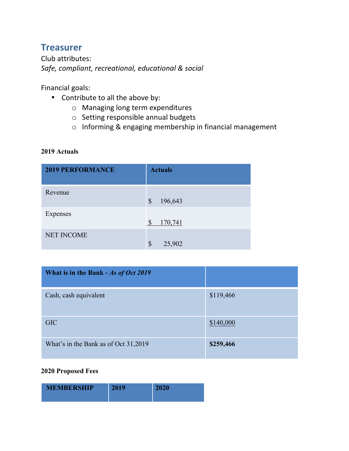## **Treasurer**

Club attributes: *Safe, compliant, recreational, educational & social*

Financial goals:

- Contribute to all the above by:
	- $\circ$  Managing long term expenditures
	- $\circ$  Setting responsible annual budgets
	- $\circ$  Informing & engaging membership in financial management

#### **2019 Actuals**

| <b>2019 PERFORMANCE</b> | <b>Actuals</b>           |
|-------------------------|--------------------------|
| Revenue                 | \$<br>196,643            |
| Expenses                | $\mathcal{S}$<br>170,741 |
| NET INCOME              | \$<br>25,902             |

| What is in the Bank - As of Oct 2019 |           |
|--------------------------------------|-----------|
| Cash, cash equivalent                | \$119,466 |
| <b>GIC</b>                           | \$140,000 |
| What's in the Bank as of Oct 31,2019 | \$259,466 |

#### **2020 Proposed Fees**

| <b>MEMBERSHIP</b> | 2010 | 2020 |
|-------------------|------|------|
|                   |      |      |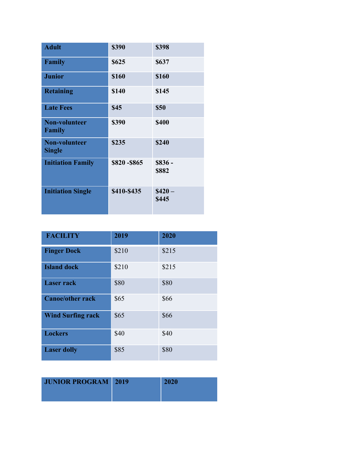| <b>Adult</b>                          | \$390       | \$398             |
|---------------------------------------|-------------|-------------------|
| Family                                | \$625       | \$637             |
| <b>Junior</b>                         | \$160       | \$160             |
| <b>Retaining</b>                      | \$140       | \$145             |
| <b>Late Fees</b>                      | \$45        | \$50              |
| <b>Non-volunteer</b><br>Family        | \$390       | <b>\$400</b>      |
| <b>Non-volunteer</b><br><b>Single</b> | \$235       | \$240             |
| <b>Initiation Family</b>              | \$820-\$865 | $$836 -$<br>\$882 |
| <b>Initiation Single</b>              | \$410-\$435 | $$420-$<br>\$445  |

| <b>FACILITY</b>          | 2019  | 2020  |
|--------------------------|-------|-------|
| <b>Finger Dock</b>       | \$210 | \$215 |
| <b>Island dock</b>       | \$210 | \$215 |
| <b>Laser rack</b>        | \$80  | \$80  |
| <b>Canoe/other rack</b>  | \$65  | \$66  |
| <b>Wind Surfing rack</b> | \$65  | \$66  |
| <b>Lockers</b>           | \$40  | \$40  |
| <b>Laser dolly</b>       | \$85  | \$80  |

| <b>JUNIOR PROGRAM</b> 2019 | <b>2020</b> |
|----------------------------|-------------|
|                            |             |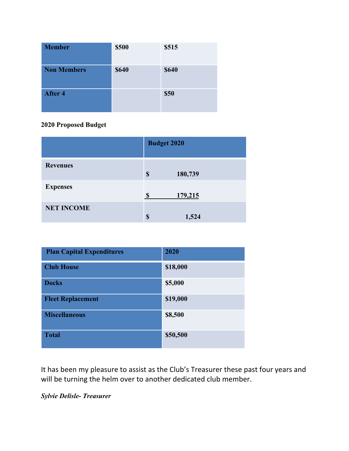| <b>Member</b>      | \$500        | \$515        |
|--------------------|--------------|--------------|
| <b>Non Members</b> | <b>\$640</b> | <b>\$640</b> |
| <b>After 4</b>     |              | <b>\$50</b>  |

#### **2020 Proposed Budget**

|                   | <b>Budget 2020</b>  |  |
|-------------------|---------------------|--|
| <b>Revenues</b>   | 180,739<br>\$       |  |
| <b>Expenses</b>   | 179,215<br><b>S</b> |  |
| <b>NET INCOME</b> | \$<br>1,524         |  |

| <b>Plan Capital Expenditures</b> | 2020     |
|----------------------------------|----------|
| <b>Club House</b>                | \$18,000 |
| <b>Docks</b>                     | \$5,000  |
| <b>Fleet Replacement</b>         | \$19,000 |
| <b>Miscellaneous</b>             | \$8,500  |
| <b>Total</b>                     | \$50,500 |

It has been my pleasure to assist as the Club's Treasurer these past four years and will be turning the helm over to another dedicated club member.

*Sylvie Delisle- Treasurer*